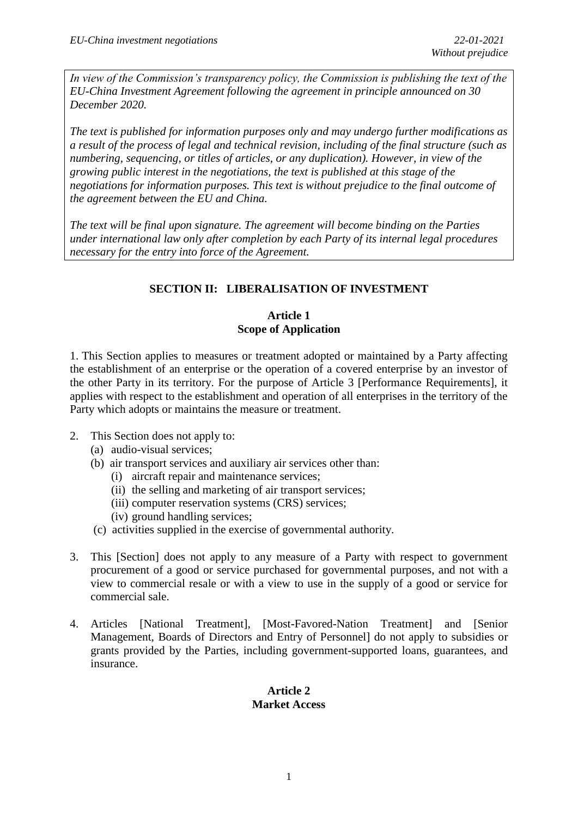*In view of the Commission's transparency policy, the Commission is publishing the text of the EU-China Investment Agreement following the agreement in principle announced on 30 December 2020.*

*The text is published for information purposes only and may undergo further modifications as a result of the process of legal and technical revision, including of the final structure (such as numbering, sequencing, or titles of articles, or any duplication). However, in view of the growing public interest in the negotiations, the text is published at this stage of the negotiations for information purposes. This text is without prejudice to the final outcome of the agreement between the EU and China.*

*The text will be final upon signature. The agreement will become binding on the Parties under international law only after completion by each Party of its internal legal procedures necessary for the entry into force of the Agreement.*

# **SECTION II: LIBERALISATION OF INVESTMENT**

## **Article 1 Scope of Application**

1. This Section applies to measures or treatment adopted or maintained by a Party affecting the establishment of an enterprise or the operation of a covered enterprise by an investor of the other Party in its territory. For the purpose of Article 3 [Performance Requirements], it applies with respect to the establishment and operation of all enterprises in the territory of the Party which adopts or maintains the measure or treatment.

- 2. This Section does not apply to:
	- (a) audio-visual services;
	- (b) air transport services and auxiliary air services other than:
		- (i) aircraft repair and maintenance services;
		- (ii) the selling and marketing of air transport services;
		- (iii) computer reservation systems (CRS) services;
		- (iv) ground handling services;
	- (c) activities supplied in the exercise of governmental authority.
- 3. This [Section] does not apply to any measure of a Party with respect to government procurement of a good or service purchased for governmental purposes, and not with a view to commercial resale or with a view to use in the supply of a good or service for commercial sale.
- 4. Articles [National Treatment], [Most-Favored-Nation Treatment] and [Senior Management, Boards of Directors and Entry of Personnel] do not apply to subsidies or grants provided by the Parties, including government-supported loans, guarantees, and insurance.

## **Article 2 Market Access**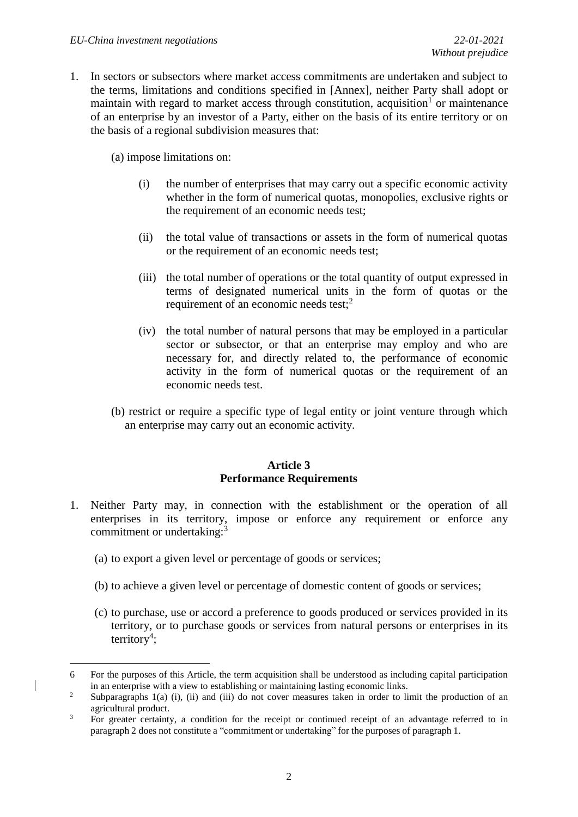1. In sectors or subsectors where market access commitments are undertaken and subject to the terms, limitations and conditions specified in [Annex], neither Party shall adopt or maintain with regard to market access through constitution, acquisition<sup>1</sup> or maintenance of an enterprise by an investor of a Party, either on the basis of its entire territory or on the basis of a regional subdivision measures that:

(a) impose limitations on:

- (i) the number of enterprises that may carry out a specific economic activity whether in the form of numerical quotas, monopolies, exclusive rights or the requirement of an economic needs test;
- (ii) the total value of transactions or assets in the form of numerical quotas or the requirement of an economic needs test;
- (iii) the total number of operations or the total quantity of output expressed in terms of designated numerical units in the form of quotas or the requirement of an economic needs test;<sup>2</sup>
- (iv) the total number of natural persons that may be employed in a particular sector or subsector, or that an enterprise may employ and who are necessary for, and directly related to, the performance of economic activity in the form of numerical quotas or the requirement of an economic needs test.
- (b) restrict or require a specific type of legal entity or joint venture through which an enterprise may carry out an economic activity.

## **Article 3 Performance Requirements**

- 1. Neither Party may, in connection with the establishment or the operation of all enterprises in its territory, impose or enforce any requirement or enforce any commitment or undertaking:<sup>3</sup>
	- (a) to export a given level or percentage of goods or services;
	- (b) to achieve a given level or percentage of domestic content of goods or services;
	- (c) to purchase, use or accord a preference to goods produced or services provided in its territory, or to purchase goods or services from natural persons or enterprises in its  $\text{territory}^4$ ;

**<sup>.</sup>** 6 For the purposes of this Article, the term acquisition shall be understood as including capital participation in an enterprise with a view to establishing or maintaining lasting economic links.

<sup>&</sup>lt;sup>2</sup> Subparagraphs 1(a) (i), (ii) and (iii) do not cover measures taken in order to limit the production of an agricultural product.

<sup>&</sup>lt;sup>3</sup> For greater certainty, a condition for the receipt or continued receipt of an advantage referred to in paragraph 2 does not constitute a "commitment or undertaking" for the purposes of paragraph 1.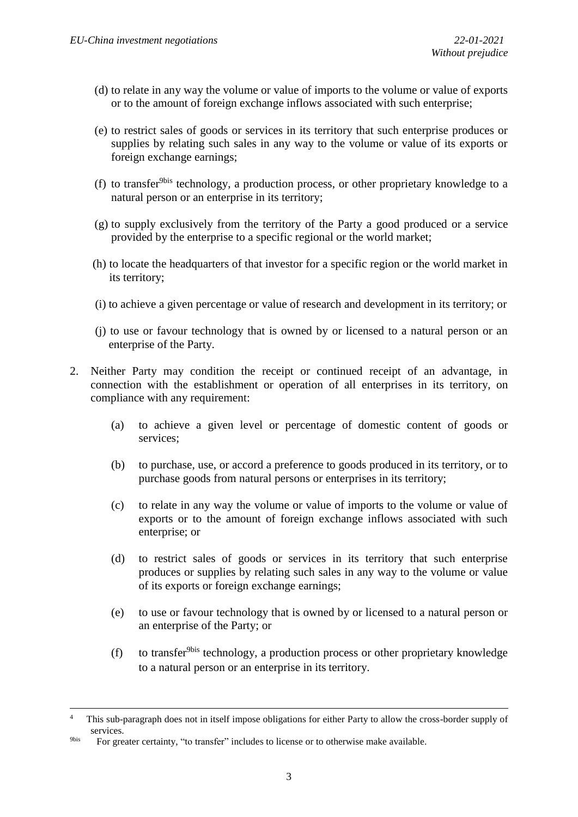- (d) to relate in any way the volume or value of imports to the volume or value of exports or to the amount of foreign exchange inflows associated with such enterprise;
- (e) to restrict sales of goods or services in its territory that such enterprise produces or supplies by relating such sales in any way to the volume or value of its exports or foreign exchange earnings;
- (f) to transfer<sup>9bis</sup> technology, a production process, or other proprietary knowledge to a natural person or an enterprise in its territory;
- (g) to supply exclusively from the territory of the Party a good produced or a service provided by the enterprise to a specific regional or the world market;
- (h) to locate the headquarters of that investor for a specific region or the world market in its territory;
- (i) to achieve a given percentage or value of research and development in its territory; or
- (j) to use or favour technology that is owned by or licensed to a natural person or an enterprise of the Party.
- 2. Neither Party may condition the receipt or continued receipt of an advantage, in connection with the establishment or operation of all enterprises in its territory, on compliance with any requirement:
	- (a) to achieve a given level or percentage of domestic content of goods or services;
	- (b) to purchase, use, or accord a preference to goods produced in its territory, or to purchase goods from natural persons or enterprises in its territory;
	- (c) to relate in any way the volume or value of imports to the volume or value of exports or to the amount of foreign exchange inflows associated with such enterprise; or
	- (d) to restrict sales of goods or services in its territory that such enterprise produces or supplies by relating such sales in any way to the volume or value of its exports or foreign exchange earnings;
	- (e) to use or favour technology that is owned by or licensed to a natural person or an enterprise of the Party; or
	- (f) to transfer<sup>9bis</sup> technology, a production process or other proprietary knowledge to a natural person or an enterprise in its territory.

 $\overline{a}$ 

<sup>4</sup> This sub-paragraph does not in itself impose obligations for either Party to allow the cross-border supply of services.

<sup>9</sup>bis For greater certainty, "to transfer" includes to license or to otherwise make available.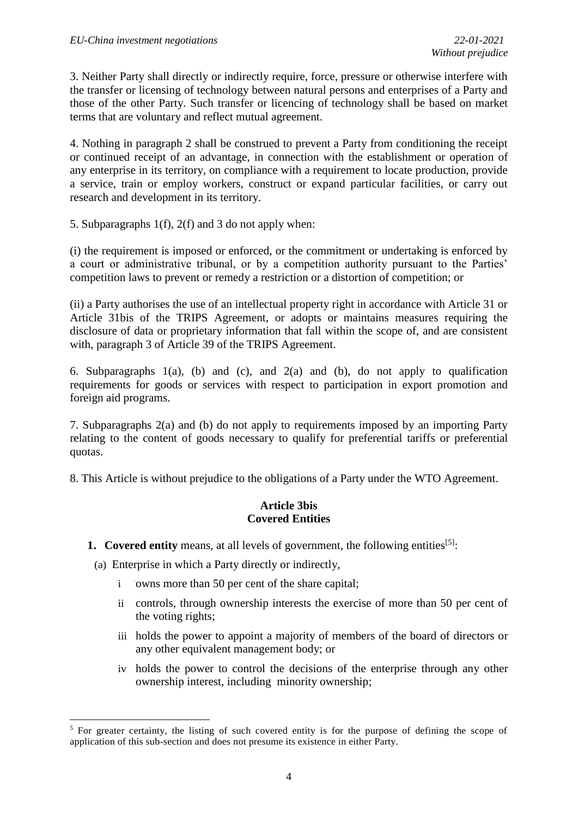3. Neither Party shall directly or indirectly require, force, pressure or otherwise interfere with the transfer or licensing of technology between natural persons and enterprises of a Party and those of the other Party. Such transfer or licencing of technology shall be based on market terms that are voluntary and reflect mutual agreement.

4. Nothing in paragraph 2 shall be construed to prevent a Party from conditioning the receipt or continued receipt of an advantage, in connection with the establishment or operation of any enterprise in its territory, on compliance with a requirement to locate production, provide a service, train or employ workers, construct or expand particular facilities, or carry out research and development in its territory.

5. Subparagraphs 1(f), 2(f) and 3 do not apply when:

(i) the requirement is imposed or enforced, or the commitment or undertaking is enforced by a court or administrative tribunal, or by a competition authority pursuant to the Parties' competition laws to prevent or remedy a restriction or a distortion of competition; or

(ii) a Party authorises the use of an intellectual property right in accordance with Article 31 or Article 31bis of the TRIPS Agreement, or adopts or maintains measures requiring the disclosure of data or proprietary information that fall within the scope of, and are consistent with, paragraph 3 of Article 39 of the TRIPS Agreement.

6. Subparagraphs  $1(a)$ , (b) and (c), and  $2(a)$  and (b), do not apply to qualification requirements for goods or services with respect to participation in export promotion and foreign aid programs.

7. Subparagraphs 2(a) and (b) do not apply to requirements imposed by an importing Party relating to the content of goods necessary to qualify for preferential tariffs or preferential quotas.

8. This Article is without prejudice to the obligations of a Party under the WTO Agreement.

## **Article 3bis Covered Entities**

**1. Covered entity** means, at all levels of government, the following entities<sup>[5]</sup>:

(a) Enterprise in which a Party directly or indirectly,

1

- i owns more than 50 per cent of the share capital;
- ii controls, through ownership interests the exercise of more than 50 per cent of the voting rights;
- iii holds the power to appoint a majority of members of the board of directors or any other equivalent management body; or
- iv holds the power to control the decisions of the enterprise through any other ownership interest, including minority ownership;

<sup>&</sup>lt;sup>5</sup> For greater certainty, the listing of such covered entity is for the purpose of defining the scope of application of this sub-section and does not presume its existence in either Party.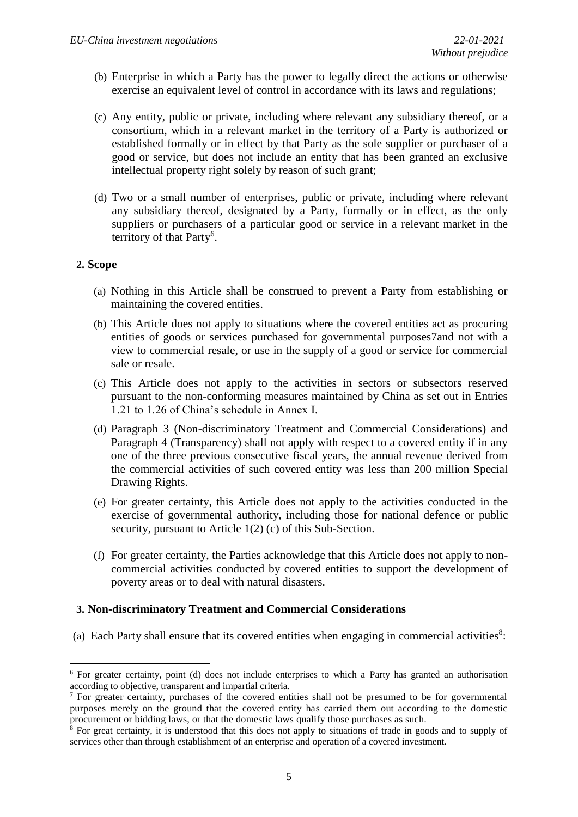- (b) Enterprise in which a Party has the power to legally direct the actions or otherwise exercise an equivalent level of control in accordance with its laws and regulations;
- (c) Any entity, public or private, including where relevant any subsidiary thereof, or a consortium, which in a relevant market in the territory of a Party is authorized or established formally or in effect by that Party as the sole supplier or purchaser of a good or service, but does not include an entity that has been granted an exclusive intellectual property right solely by reason of such grant;
- (d) Two or a small number of enterprises, public or private, including where relevant any subsidiary thereof, designated by a Party, formally or in effect, as the only suppliers or purchasers of a particular good or service in a relevant market in the territory of that Party<sup>6</sup>.

## **2. Scope**

- (a) Nothing in this Article shall be construed to prevent a Party from establishing or maintaining the covered entities.
- (b) This Article does not apply to situations where the covered entities act as procuring entities of goods or services purchased for governmental purposes7and not with a view to commercial resale, or use in the supply of a good or service for commercial sale or resale.
- (c) This Article does not apply to the activities in sectors or subsectors reserved pursuant to the non-conforming measures maintained by China as set out in Entries 1.21 to 1.26 of China's schedule in Annex I.
- (d) Paragraph 3 (Non-discriminatory Treatment and Commercial Considerations) and Paragraph 4 (Transparency) shall not apply with respect to a covered entity if in any one of the three previous consecutive fiscal years, the annual revenue derived from the commercial activities of such covered entity was less than 200 million Special Drawing Rights.
- (e) For greater certainty, this Article does not apply to the activities conducted in the exercise of governmental authority, including those for national defence or public security, pursuant to Article 1(2) (c) of this Sub-Section.
- (f) For greater certainty, the Parties acknowledge that this Article does not apply to noncommercial activities conducted by covered entities to support the development of poverty areas or to deal with natural disasters.

## **3. Non-discriminatory Treatment and Commercial Considerations**

(a) Each Party shall ensure that its covered entities when engaging in commercial activities $8$ :

**<sup>.</sup>** <sup>6</sup> For greater certainty, point (d) does not include enterprises to which a Party has granted an authorisation according to objective, transparent and impartial criteria.

<sup>7</sup> For greater certainty, purchases of the covered entities shall not be presumed to be for governmental purposes merely on the ground that the covered entity has carried them out according to the domestic procurement or bidding laws, or that the domestic laws qualify those purchases as such.

 $8$  For great certainty, it is understood that this does not apply to situations of trade in goods and to supply of services other than through establishment of an enterprise and operation of a covered investment.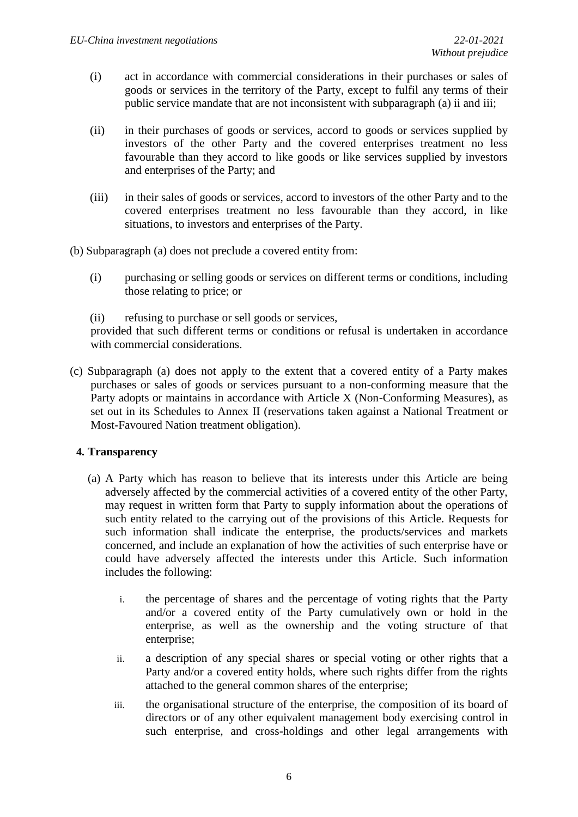- (i) act in accordance with commercial considerations in their purchases or sales of goods or services in the territory of the Party, except to fulfil any terms of their public service mandate that are not inconsistent with subparagraph (a) ii and iii;
- (ii) in their purchases of goods or services, accord to goods or services supplied by investors of the other Party and the covered enterprises treatment no less favourable than they accord to like goods or like services supplied by investors and enterprises of the Party; and
- (iii) in their sales of goods or services, accord to investors of the other Party and to the covered enterprises treatment no less favourable than they accord, in like situations, to investors and enterprises of the Party.
- (b) Subparagraph (a) does not preclude a covered entity from:
	- (i) purchasing or selling goods or services on different terms or conditions, including those relating to price; or

(ii) refusing to purchase or sell goods or services, provided that such different terms or conditions or refusal is undertaken in accordance with commercial considerations.

(c) Subparagraph (a) does not apply to the extent that a covered entity of a Party makes purchases or sales of goods or services pursuant to a non-conforming measure that the Party adopts or maintains in accordance with Article X (Non-Conforming Measures), as set out in its Schedules to Annex II (reservations taken against a National Treatment or Most-Favoured Nation treatment obligation).

## **4. Transparency**

- (a) A Party which has reason to believe that its interests under this Article are being adversely affected by the commercial activities of a covered entity of the other Party, may request in written form that Party to supply information about the operations of such entity related to the carrying out of the provisions of this Article. Requests for such information shall indicate the enterprise, the products/services and markets concerned, and include an explanation of how the activities of such enterprise have or could have adversely affected the interests under this Article. Such information includes the following:
	- i. the percentage of shares and the percentage of voting rights that the Party and/or a covered entity of the Party cumulatively own or hold in the enterprise, as well as the ownership and the voting structure of that enterprise;
	- ii. a description of any special shares or special voting or other rights that a Party and/or a covered entity holds, where such rights differ from the rights attached to the general common shares of the enterprise;
	- iii. the organisational structure of the enterprise, the composition of its board of directors or of any other equivalent management body exercising control in such enterprise, and cross-holdings and other legal arrangements with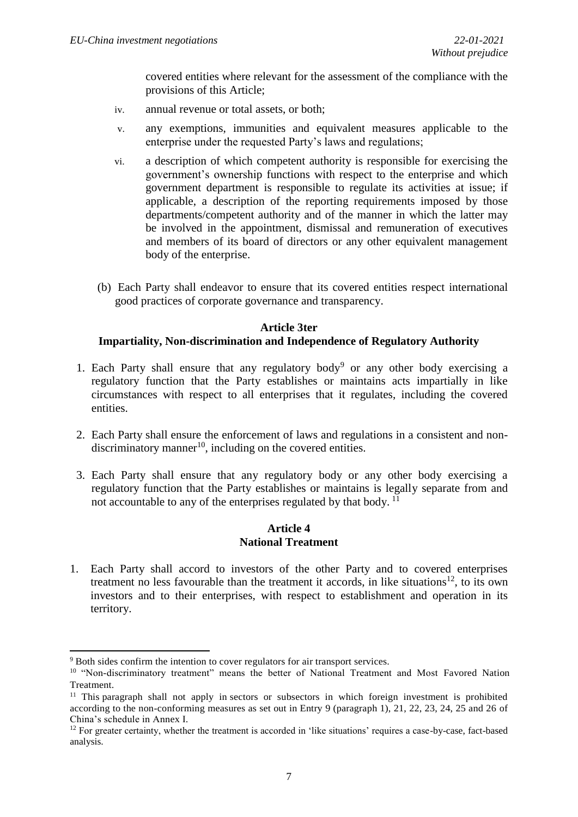covered entities where relevant for the assessment of the compliance with the provisions of this Article;

- iv. annual revenue or total assets, or both;
- v. any exemptions, immunities and equivalent measures applicable to the enterprise under the requested Party's laws and regulations;
- vi. a description of which competent authority is responsible for exercising the government's ownership functions with respect to the enterprise and which government department is responsible to regulate its activities at issue; if applicable, a description of the reporting requirements imposed by those departments/competent authority and of the manner in which the latter may be involved in the appointment, dismissal and remuneration of executives and members of its board of directors or any other equivalent management body of the enterprise.
- (b) Each Party shall endeavor to ensure that its covered entities respect international good practices of corporate governance and transparency.

#### **Article 3ter**

#### **Impartiality, Non-discrimination and Independence of Regulatory Authority**

- 1. Each Party shall ensure that any regulatory body<sup>9</sup> or any other body exercising a regulatory function that the Party establishes or maintains acts impartially in like circumstances with respect to all enterprises that it regulates, including the covered entities.
- 2. Each Party shall ensure the enforcement of laws and regulations in a consistent and non $discriminatory manner<sup>10</sup>$ , including on the covered entities.
- 3. Each Party shall ensure that any regulatory body or any other body exercising a regulatory function that the Party establishes or maintains is legally separate from and not accountable to any of the enterprises regulated by that body.<sup>11</sup>

#### **Article 4 National Treatment**

1. Each Party shall accord to investors of the other Party and to covered enterprises treatment no less favourable than the treatment it accords, in like situations<sup>12</sup>, to its own investors and to their enterprises, with respect to establishment and operation in its territory.

1

<sup>&</sup>lt;sup>9</sup> Both sides confirm the intention to cover regulators for air transport services.

<sup>&</sup>lt;sup>10</sup> "Non-discriminatory treatment" means the better of National Treatment and Most Favored Nation Treatment.

<sup>&</sup>lt;sup>11</sup> This paragraph shall not apply in sectors or subsectors in which foreign investment is prohibited according to the non-conforming measures as set out in Entry 9 (paragraph 1), 21, 22, 23, 24, 25 and 26 of China's schedule in Annex I.

<sup>&</sup>lt;sup>12</sup> For greater certainty, whether the treatment is accorded in 'like situations' requires a case-by-case, fact-based analysis.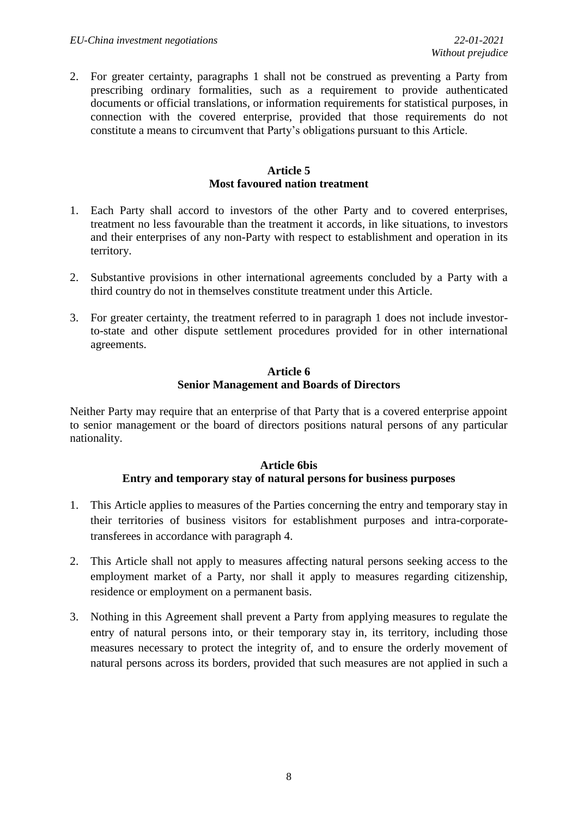2. For greater certainty, paragraphs 1 shall not be construed as preventing a Party from prescribing ordinary formalities, such as a requirement to provide authenticated documents or official translations, or information requirements for statistical purposes, in connection with the covered enterprise, provided that those requirements do not constitute a means to circumvent that Party's obligations pursuant to this Article.

### **Article 5 Most favoured nation treatment**

- 1. Each Party shall accord to investors of the other Party and to covered enterprises, treatment no less favourable than the treatment it accords, in like situations, to investors and their enterprises of any non-Party with respect to establishment and operation in its territory.
- 2. Substantive provisions in other international agreements concluded by a Party with a third country do not in themselves constitute treatment under this Article.
- 3. For greater certainty, the treatment referred to in paragraph 1 does not include investorto-state and other dispute settlement procedures provided for in other international agreements.

## **Article 6 Senior Management and Boards of Directors**

Neither Party may require that an enterprise of that Party that is a covered enterprise appoint to senior management or the board of directors positions natural persons of any particular nationality.

## **Article 6bis Entry and temporary stay of natural persons for business purposes**

- 1. This Article applies to measures of the Parties concerning the entry and temporary stay in their territories of business visitors for establishment purposes and intra-corporatetransferees in accordance with paragraph 4.
- 2. This Article shall not apply to measures affecting natural persons seeking access to the employment market of a Party, nor shall it apply to measures regarding citizenship, residence or employment on a permanent basis.
- 3. Nothing in this Agreement shall prevent a Party from applying measures to regulate the entry of natural persons into, or their temporary stay in, its territory, including those measures necessary to protect the integrity of, and to ensure the orderly movement of natural persons across its borders, provided that such measures are not applied in such a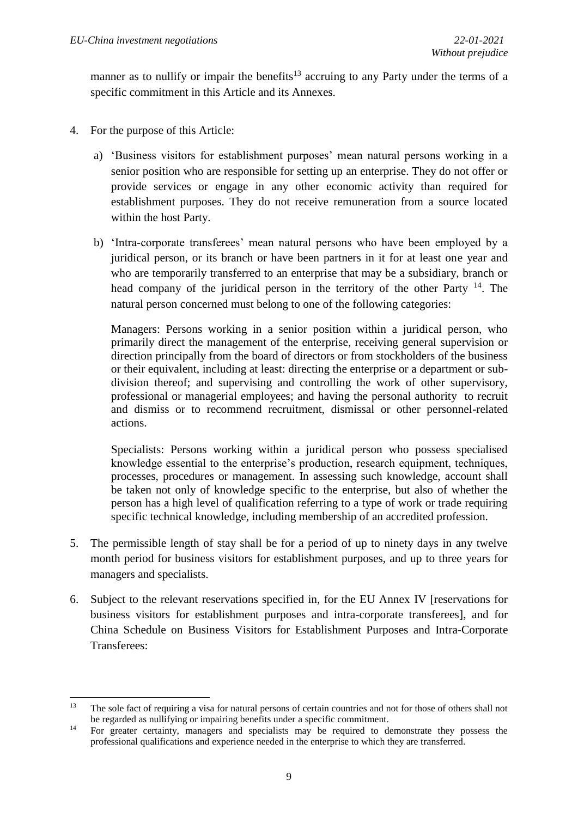manner as to nullify or impair the benefits<sup>13</sup> accruing to any Party under the terms of a specific commitment in this Article and its Annexes.

- 4. For the purpose of this Article:
	- a) 'Business visitors for establishment purposes' mean natural persons working in a senior position who are responsible for setting up an enterprise. They do not offer or provide services or engage in any other economic activity than required for establishment purposes. They do not receive remuneration from a source located within the host Party.
	- b) 'Intra-corporate transferees' mean natural persons who have been employed by a juridical person, or its branch or have been partners in it for at least one year and who are temporarily transferred to an enterprise that may be a subsidiary, branch or head company of the juridical person in the territory of the other Party <sup>14</sup>. The natural person concerned must belong to one of the following categories:

Managers: Persons working in a senior position within a juridical person, who primarily direct the management of the enterprise, receiving general supervision or direction principally from the board of directors or from stockholders of the business or their equivalent, including at least: directing the enterprise or a department or subdivision thereof; and supervising and controlling the work of other supervisory, professional or managerial employees; and having the personal authority to recruit and dismiss or to recommend recruitment, dismissal or other personnel-related actions.

Specialists: Persons working within a juridical person who possess specialised knowledge essential to the enterprise's production, research equipment, techniques, processes, procedures or management. In assessing such knowledge, account shall be taken not only of knowledge specific to the enterprise, but also of whether the person has a high level of qualification referring to a type of work or trade requiring specific technical knowledge, including membership of an accredited profession.

- 5. The permissible length of stay shall be for a period of up to ninety days in any twelve month period for business visitors for establishment purposes, and up to three years for managers and specialists.
- 6. Subject to the relevant reservations specified in, for the EU Annex IV [reservations for business visitors for establishment purposes and intra-corporate transferees], and for China Schedule on Business Visitors for Establishment Purposes and Intra-Corporate Transferees:

 $13<sup>°</sup>$ <sup>13</sup> The sole fact of requiring a visa for natural persons of certain countries and not for those of others shall not be regarded as nullifying or impairing benefits under a specific commitment.

<sup>&</sup>lt;sup>14</sup> For greater certainty, managers and specialists may be required to demonstrate they possess the professional qualifications and experience needed in the enterprise to which they are transferred.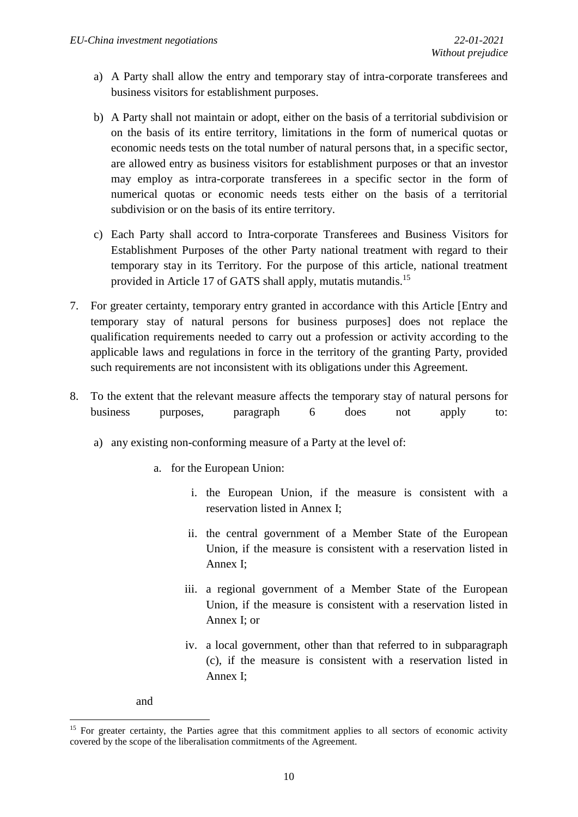- a) A Party shall allow the entry and temporary stay of intra-corporate transferees and business visitors for establishment purposes.
- b) A Party shall not maintain or adopt, either on the basis of a territorial subdivision or on the basis of its entire territory, limitations in the form of numerical quotas or economic needs tests on the total number of natural persons that, in a specific sector, are allowed entry as business visitors for establishment purposes or that an investor may employ as intra-corporate transferees in a specific sector in the form of numerical quotas or economic needs tests either on the basis of a territorial subdivision or on the basis of its entire territory.
- c) Each Party shall accord to Intra-corporate Transferees and Business Visitors for Establishment Purposes of the other Party national treatment with regard to their temporary stay in its Territory. For the purpose of this article, national treatment provided in Article 17 of GATS shall apply, mutatis mutandis.<sup>15</sup>
- 7. For greater certainty, temporary entry granted in accordance with this Article [Entry and temporary stay of natural persons for business purposes] does not replace the qualification requirements needed to carry out a profession or activity according to the applicable laws and regulations in force in the territory of the granting Party, provided such requirements are not inconsistent with its obligations under this Agreement.
- 8. To the extent that the relevant measure affects the temporary stay of natural persons for business purposes, paragraph 6 does not apply to:
	- a) any existing non-conforming measure of a Party at the level of:
		- a. for the European Union:
			- i. the European Union, if the measure is consistent with a reservation listed in Annex I;
			- ii. the central government of a Member State of the European Union, if the measure is consistent with a reservation listed in Annex I;
			- iii. a regional government of a Member State of the European Union, if the measure is consistent with a reservation listed in Annex I; or
			- iv. a local government, other than that referred to in subparagraph (c), if the measure is consistent with a reservation listed in Annex I;

and

1

<sup>&</sup>lt;sup>15</sup> For greater certainty, the Parties agree that this commitment applies to all sectors of economic activity covered by the scope of the liberalisation commitments of the Agreement.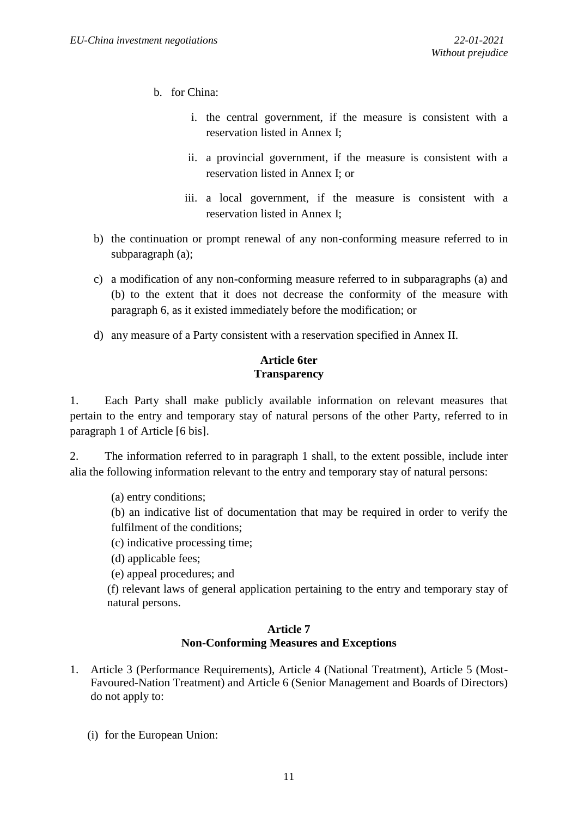- b. for China:
	- i. the central government, if the measure is consistent with a reservation listed in Annex I;
	- ii. a provincial government, if the measure is consistent with a reservation listed in Annex I; or
	- iii. a local government, if the measure is consistent with a reservation listed in Annex I;
- b) the continuation or prompt renewal of any non-conforming measure referred to in subparagraph (a);
- c) a modification of any non-conforming measure referred to in subparagraphs (a) and (b) to the extent that it does not decrease the conformity of the measure with paragraph 6, as it existed immediately before the modification; or
- d) any measure of a Party consistent with a reservation specified in Annex II.

## **Article 6ter Transparency**

1. Each Party shall make publicly available information on relevant measures that pertain to the entry and temporary stay of natural persons of the other Party, referred to in paragraph 1 of Article [6 bis].

2. The information referred to in paragraph 1 shall, to the extent possible, include inter alia the following information relevant to the entry and temporary stay of natural persons:

(a) entry conditions;

(b) an indicative list of documentation that may be required in order to verify the fulfilment of the conditions;

- (c) indicative processing time;
- (d) applicable fees;

(e) appeal procedures; and

(f) relevant laws of general application pertaining to the entry and temporary stay of natural persons.

## **Article 7 Non-Conforming Measures and Exceptions**

- 1. Article 3 (Performance Requirements), Article 4 (National Treatment), Article 5 (Most-Favoured-Nation Treatment) and Article 6 (Senior Management and Boards of Directors) do not apply to:
	- (i) for the European Union: